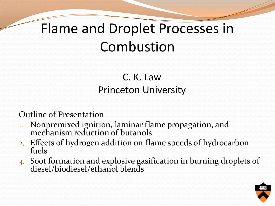## Flame and Droplet Processes in Combustion

#### C. K. Law Princeton University

#### Outline of Presentation

- 1. Nonpremixed ignition, laminar flame propagation, and mechanism reduction of butanols
- 2. Effects of hydrogen addition on flame speeds of hydrocarbon fuels
- 3. Soot formation and explosive gasification in burning droplets of diesel/biodiesel/ethanol blends

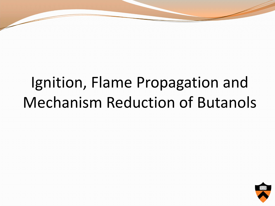## Ignition, Flame Propagation and Mechanism Reduction of Butanols

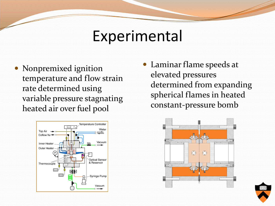### Experimental

• Nonpremixed ignition temperature and flow strain rate determined using variable pressure stagnating heated air over fuel pool



 Laminar flame speeds at elevated pressures determined from expanding spherical flames in heated constant-pressure bomb



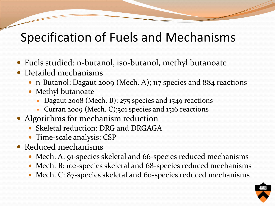### Specification of Fuels and Mechanisms

- Fuels studied: n-butanol, iso-butanol, methyl butanoate
- Detailed mechanisms
	- n-Butanol: Dagaut 2009 (Mech. A); 117 species and 884 reactions
	- Methyl butanoate
		- Dagaut 2008 (Mech. B); 275 species and 1549 reactions
		- Curran 2009 (Mech. C);301 species and 1516 reactions
- Algorithms for mechanism reduction
	- Skeletal reduction: DRG and DRGAGA
	- Time-scale analysis: CSP
- Reduced mechanisms
	- Mech. A: 91-species skeletal and 66-species reduced mechanisms
	- Mech. B: 102-species skeletal and 68-species reduced mechanisms
	- Mech. C: 87-species skeletal and 60-species reduced mechanisms

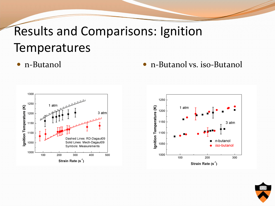### Results and Comparisons: Ignition Temperatures



• n-Butanol • n-Butanol vs. iso-Butanol

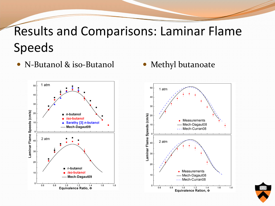### Results and Comparisons: Laminar Flame Speeds

- N-Butanol & iso-Butanol Methyl butanoate
- 



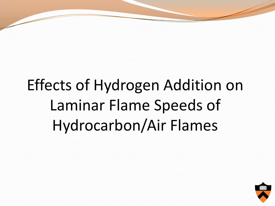## Effects of Hydrogen Addition on Laminar Flame Speeds of Hydrocarbon/Air Flames

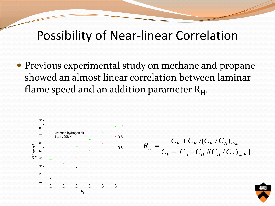### Possibility of Near-linear Correlation

 Previous experimental study on methane and propane showed an almost linear correlation between laminar flame speed and an addition parameter  $R_H$ .



$$
R_{H} = \frac{C_{H} + C_{H} / (C_{H} / C_{A})_{\text{stoic}}}{C_{F} + [C_{A} - C_{H} / (C_{H} / C_{A})_{\text{stoic}}]}
$$

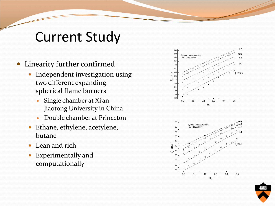### Current Study

- Linearity further confirmed
	- Independent investigation using two different expanding spherical flame burners
		- Single chamber at Xi'an Jiaotong University in China
		- Double chamber at Princeton
	- Ethane, ethylene, acetylene, butane
	- Lean and rich
	- Experimentally and computationally





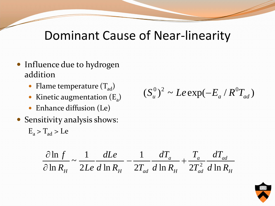#### Dominant Cause of Near-linearity

- Influence due to hydrogen addition
	- Flame temperature  $(T_{ad})$
	- Kinetic augmentation  $(E_a)$
	- Enhance diffusion (Le)
- Sensitivity analysis shows:  $E_a > T_{ad} > Le$

 $(S_u^0)^2 \sim Le \exp(-E_a/R^0T_{ad})$ 

$$
\frac{\partial \ln f}{\partial \ln R_H} \sim \frac{1}{2Le} \frac{dLe}{d \ln R_H} - \frac{1}{2T_{ad}} \frac{dT_a}{d \ln R_H} + \frac{T_a}{2T_{ad}} \frac{dT_{ad}}{d \ln R_H}
$$

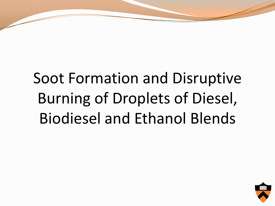## Soot Formation and Disruptive Burning of Droplets of Diesel, Biodiesel and Ethanol Blends

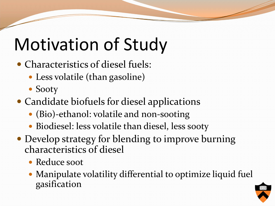# Motivation of Study

- Characteristics of diesel fuels:
	- Less volatile (than gasoline)
	- Sooty
- Candidate biofuels for diesel applications
	- (Bio)-ethanol: volatile and non-sooting
	- Biodiesel: less volatile than diesel, less sooty
- Develop strategy for blending to improve burning characteristics of diesel
	- Reduce soot
	- Manipulate volatility differential to optimize liquid fuel gasification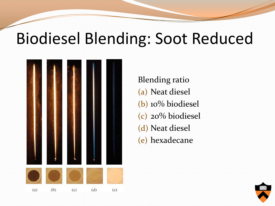## Biodiesel Blending: Soot Reduced



Blending ratio (a) Neat diesel (b) 10% biodiesel (c) 20% biodiesel (d) Neat diesel (e) hexadecane

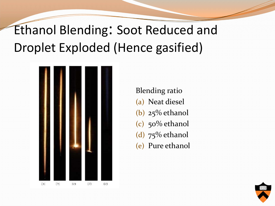## Ethanol Blending: Soot Reduced and Droplet Exploded (Hence gasified)



Blending ratio (a) Neat diesel (b) 25% ethanol (c) 50% ethanol (d) 75% ethanol (e) Pure ethanol